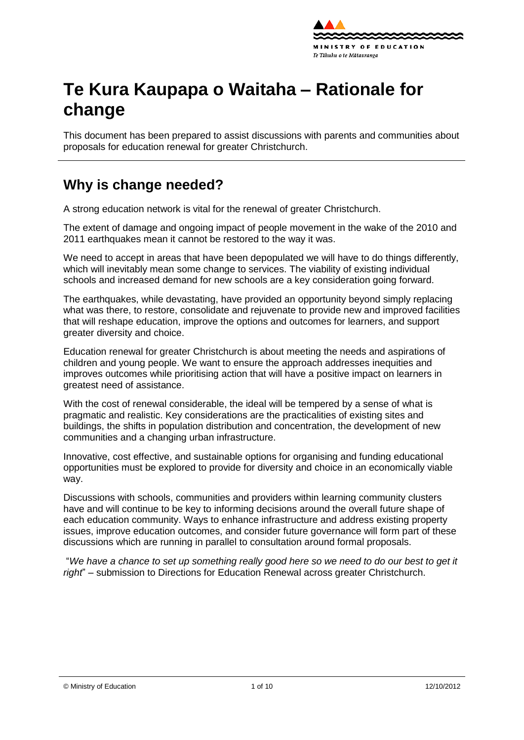

# **Te Kura Kaupapa o Waitaha – Rationale for change**

This document has been prepared to assist discussions with parents and communities about proposals for education renewal for greater Christchurch.

# **Why is change needed?**

A strong education network is vital for the renewal of greater Christchurch.

The extent of damage and ongoing impact of people movement in the wake of the 2010 and 2011 earthquakes mean it cannot be restored to the way it was.

We need to accept in areas that have been depopulated we will have to do things differently, which will inevitably mean some change to services. The viability of existing individual schools and increased demand for new schools are a key consideration going forward.

The earthquakes, while devastating, have provided an opportunity beyond simply replacing what was there, to [restore,](http://shapingeducation.minedu.govt.nz/guiding-the-process-of-renewal/restore) [consolidate](http://shapingeducation.minedu.govt.nz/guiding-the-process-of-renewal/consolidate) and [rejuvenate](http://shapingeducation.minedu.govt.nz/guiding-the-process-of-renewal/rejuvenate) to provide new and improved facilities that will reshape education, improve the options and outcomes for learners, and support greater diversity and choice.

Education renewal for greater Christchurch is about meeting the needs and aspirations of children and young people. We want to ensure the approach addresses inequities and improves outcomes while prioritising action that will have a positive impact on learners in greatest need of assistance.

With the cost of renewal considerable, the ideal will be tempered by a sense of what is pragmatic and realistic. Key considerations are the practicalities of existing sites and buildings, the shifts in population distribution and concentration, the development of new communities and a changing urban infrastructure.

Innovative, cost effective, and sustainable options for organising and funding educational opportunities must be explored to provide for diversity and choice in an economically viable way.

Discussions with schools, communities and providers within learning community clusters have and will continue to be key to informing decisions around the overall future shape of each education community. Ways to enhance infrastructure and address existing property issues, improve education outcomes, and consider future governance will form part of these discussions which are running in parallel to consultation around formal proposals.

"*We have a chance to set up something really good here so we need to do our best to get it right*" – submission to Directions for Education Renewal across greater Christchurch.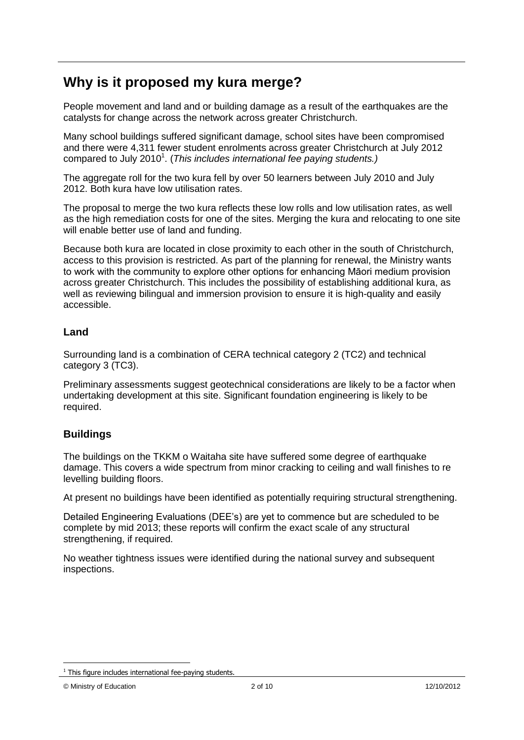# **Why is it proposed my kura merge?**

People movement and land and or building damage as a result of the earthquakes are the catalysts for change across the network across greater Christchurch.

Many school buildings suffered significant damage, school sites have been compromised and there were 4,311 fewer student enrolments across greater Christchurch at July 2012 compared to July 2010<sup>1</sup>. (This includes international fee paying students.)

The aggregate roll for the two kura fell by over 50 learners between July 2010 and July 2012. Both kura have low utilisation rates.

The proposal to merge the two kura reflects these low rolls and low utilisation rates, as well as the high remediation costs for one of the sites. Merging the kura and relocating to one site will enable better use of land and funding.

Because both kura are located in close proximity to each other in the south of Christchurch, access to this provision is restricted. As part of the planning for renewal, the Ministry wants to work with the community to explore other options for enhancing Māori medium provision across greater Christchurch. This includes the possibility of establishing additional kura, as well as reviewing bilingual and immersion provision to ensure it is high-quality and easily accessible.

### **Land**

Surrounding land is a combination of CERA technical category 2 (TC2) and technical category 3 (TC3).

Preliminary assessments suggest geotechnical considerations are likely to be a factor when undertaking development at this site. Significant foundation engineering is likely to be required.

### **Buildings**

The buildings on the TKKM o Waitaha site have suffered some degree of earthquake damage. This covers a wide spectrum from minor cracking to ceiling and wall finishes to re levelling building floors.

At present no buildings have been identified as potentially requiring structural strengthening.

Detailed Engineering Evaluations (DEE"s) are yet to commence but are scheduled to be complete by mid 2013; these reports will confirm the exact scale of any structural strengthening, if required.

No weather tightness issues were identified during the national survey and subsequent inspections.

1

 $1$  This figure includes international fee-paying students.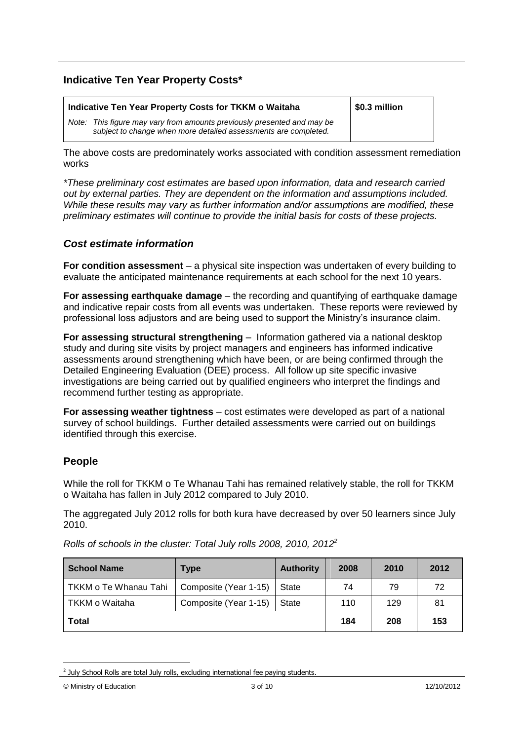### **Indicative Ten Year Property Costs\***

| Indicative Ten Year Property Costs for TKKM o Waitaha                                                                                      | \$0.3 million |
|--------------------------------------------------------------------------------------------------------------------------------------------|---------------|
| Note: This figure may vary from amounts previously presented and may be<br>subject to change when more detailed assessments are completed. |               |

The above costs are predominately works associated with condition assessment remediation works

*\*These preliminary cost estimates are based upon information, data and research carried out by external parties. They are dependent on the information and assumptions included. While these results may vary as further information and/or assumptions are modified, these preliminary estimates will continue to provide the initial basis for costs of these projects.*

#### *Cost estimate information*

**For condition assessment** – a physical site inspection was undertaken of every building to evaluate the anticipated maintenance requirements at each school for the next 10 years.

**For assessing earthquake damage** – the recording and quantifying of earthquake damage and indicative repair costs from all events was undertaken. These reports were reviewed by professional loss adjustors and are being used to support the Ministry"s insurance claim.

**For assessing structural strengthening** – Information gathered via a national desktop study and during site visits by project managers and engineers has informed indicative assessments around strengthening which have been, or are being confirmed through the Detailed Engineering Evaluation (DEE) process. All follow up site specific invasive investigations are being carried out by qualified engineers who interpret the findings and recommend further testing as appropriate.

**For assessing weather tightness** – cost estimates were developed as part of a national survey of school buildings. Further detailed assessments were carried out on buildings identified through this exercise.

#### **People**

While the roll for TKKM o Te Whanau Tahi has remained relatively stable, the roll for TKKM o Waitaha has fallen in July 2012 compared to July 2010.

The aggregated July 2012 rolls for both kura have decreased by over 50 learners since July 2010.

| <b>School Name</b>    | Type                  | <b>Authority</b> | 2008 | 2010 | 2012 |
|-----------------------|-----------------------|------------------|------|------|------|
| TKKM o Te Whanau Tahi | Composite (Year 1-15) | State            | 74   | 79   | 72   |
| TKKM o Waitaha        | Composite (Year 1-15) | State            | 110  | 129  | 81   |
| <b>Total</b>          |                       |                  | 184  | 208  | 153  |

*Rolls of schools in the cluster: Total July rolls 2008, 2010, 2012<sup>2</sup>*

1

 $2$  July School Rolls are total July rolls, excluding international fee paying students.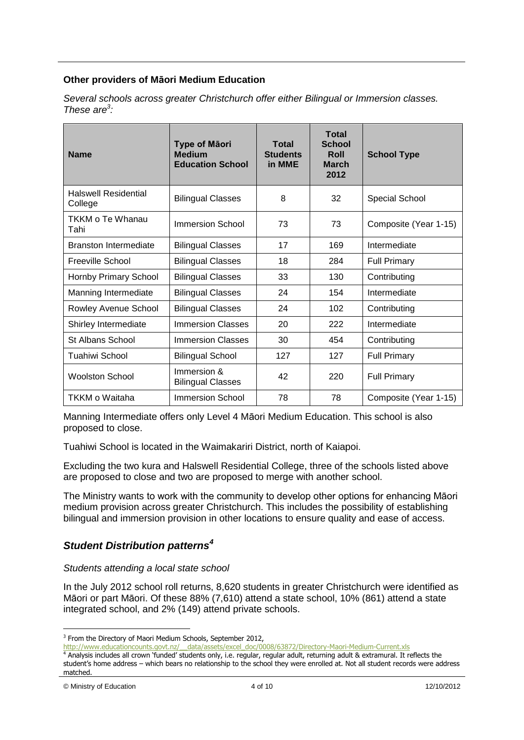#### **Other providers of Māori Medium Education**

| <b>Name</b>                            | <b>Type of Māori</b><br><b>Medium</b><br><b>Education School</b> | Total<br><b>Students</b><br>in MME | <b>Total</b><br><b>School</b><br><b>Roll</b><br><b>March</b><br>2012 | <b>School Type</b>    |  |
|----------------------------------------|------------------------------------------------------------------|------------------------------------|----------------------------------------------------------------------|-----------------------|--|
| <b>Halswell Residential</b><br>College | <b>Bilingual Classes</b>                                         | 8<br>32                            |                                                                      | Special School        |  |
| TKKM o Te Whanau<br>Tahi               | <b>Immersion School</b>                                          | 73                                 | 73                                                                   | Composite (Year 1-15) |  |
| <b>Branston Intermediate</b>           | <b>Bilingual Classes</b>                                         | 17                                 | 169                                                                  | Intermediate          |  |
| Freeville School                       | <b>Bilingual Classes</b>                                         | 18                                 | 284                                                                  | <b>Full Primary</b>   |  |
| Hornby Primary School                  | <b>Bilingual Classes</b>                                         | 33                                 | 130                                                                  | Contributing          |  |
| Manning Intermediate                   | <b>Bilingual Classes</b>                                         | 24                                 | 154                                                                  | Intermediate          |  |
| Rowley Avenue School                   | <b>Bilingual Classes</b>                                         | 24                                 | 102                                                                  | Contributing          |  |
| Shirley Intermediate                   | <b>Immersion Classes</b>                                         | 20                                 | 222                                                                  | Intermediate          |  |
| St Albans School                       | <b>Immersion Classes</b>                                         | 30                                 | 454                                                                  | Contributing          |  |
| Tuahiwi School                         | <b>Bilingual School</b>                                          | 127                                | 127                                                                  | <b>Full Primary</b>   |  |
| <b>Woolston School</b>                 | Immersion &<br><b>Bilingual Classes</b>                          | 42<br>220                          |                                                                      | <b>Full Primary</b>   |  |
| TKKM o Waitaha                         | <b>Immersion School</b>                                          | 78                                 | 78                                                                   | Composite (Year 1-15) |  |

*Several schools across greater Christchurch offer either Bilingual or Immersion classes. These are<sup>3</sup> :*

Manning Intermediate offers only Level 4 Māori Medium Education. This school is also proposed to close.

Tuahiwi School is located in the Waimakariri District, north of Kaiapoi.

Excluding the two kura and Halswell Residential College, three of the schools listed above are proposed to close and two are proposed to merge with another school.

The Ministry wants to work with the community to develop other options for enhancing Māori medium provision across greater Christchurch. This includes the possibility of establishing bilingual and immersion provision in other locations to ensure quality and ease of access.

### *Student Distribution patterns<sup>4</sup>*

#### *Students attending a local state school*

In the July 2012 school roll returns, 8,620 students in greater Christchurch were identified as Māori or part Māori. Of these 88% (7,610) attend a state school, 10% (861) attend a state integrated school, and 2% (149) attend private schools.

<sup>1</sup> <sup>3</sup> From the Directory of Maori Medium Schools, September 2012,

[http://www.educationcounts.govt.nz/\\_\\_data/assets/excel\\_doc/0008/63872/Directory-Maori-Medium-Current.xls](http://www.educationcounts.govt.nz/__data/assets/excel_doc/0008/63872/Directory-Maori-Medium-Current.xls)

<sup>4</sup> Analysis includes all crown 'funded' students only, i.e. regular, regular adult, returning adult & extramural. It reflects the student's home address – which bears no relationship to the school they were enrolled at. Not all student records were address matched.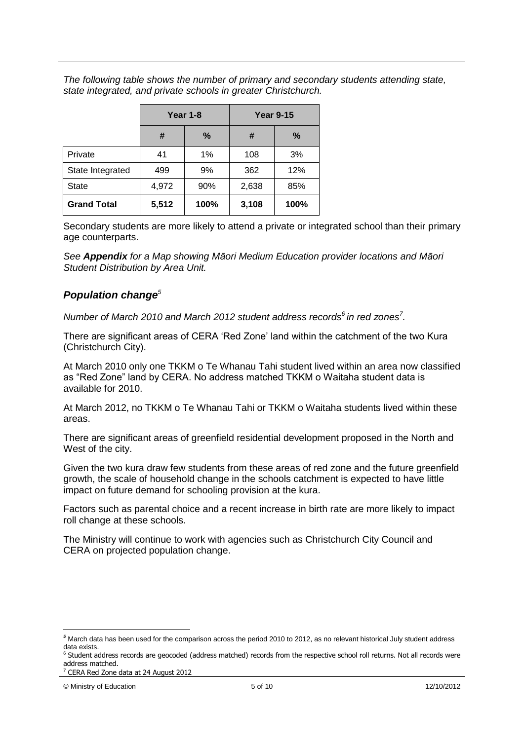*The following table shows the number of primary and secondary students attending state, state integrated, and private schools in greater Christchurch.*

|                    | <b>Year 1-8</b> |      | <b>Year 9-15</b> |      |  |
|--------------------|-----------------|------|------------------|------|--|
|                    | #               | %    | #                | %    |  |
| Private            | 41              | 1%   | 108              | 3%   |  |
| State Integrated   | 499             | 9%   | 362              | 12%  |  |
| <b>State</b>       | 4,972           | 90%  | 2,638            | 85%  |  |
| <b>Grand Total</b> | 5,512           | 100% | 3,108            | 100% |  |

Secondary students are more likely to attend a private or integrated school than their primary age counterparts.

*See Appendix for a Map showing Māori Medium Education provider locations and Māori Student Distribution by Area Unit.*

### *Population change<sup>5</sup>*

*Number of March 2010 and March 2012 student address records<sup>6</sup> in red zones<sup>7</sup> .*

There are significant areas of CERA "Red Zone" land within the catchment of the two Kura (Christchurch City).

At March 2010 only one TKKM o Te Whanau Tahi student lived within an area now classified as "Red Zone" land by CERA. No address matched TKKM o Waitaha student data is available for 2010.

At March 2012, no TKKM o Te Whanau Tahi or TKKM o Waitaha students lived within these areas.

There are significant areas of greenfield residential development proposed in the North and West of the city.

Given the two kura draw few students from these areas of red zone and the future greenfield growth, the scale of household change in the schools catchment is expected to have little impact on future demand for schooling provision at the kura.

Factors such as parental choice and a recent increase in birth rate are more likely to impact roll change at these schools.

The Ministry will continue to work with agencies such as Christchurch City Council and CERA on projected population change.

<sup>1</sup> *<sup>5</sup>* March data has been used for the comparison across the period 2010 to 2012, as no relevant historical July student address data exists.

<sup>&</sup>lt;sup>6</sup> Student address records are geocoded (address matched) records from the respective school roll returns. Not all records were address matched.

<sup>7</sup> CERA Red Zone data at 24 August 2012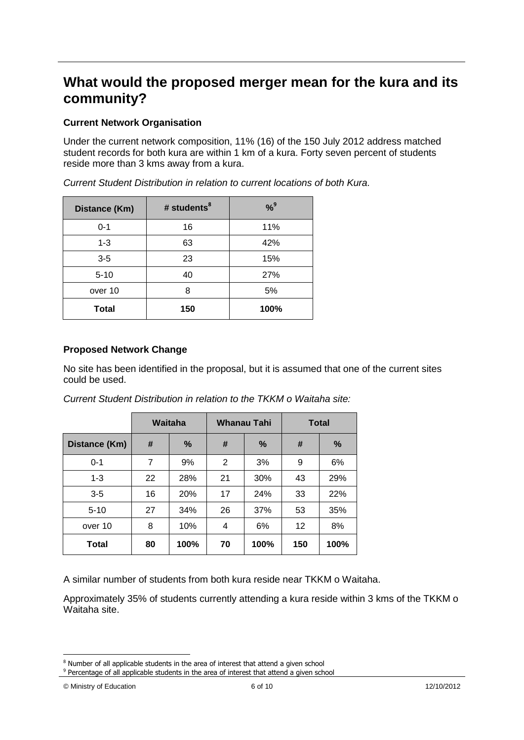# **What would the proposed merger mean for the kura and its community?**

### **Current Network Organisation**

Under the current network composition, 11% (16) of the 150 July 2012 address matched student records for both kura are within 1 km of a kura. Forty seven percent of students reside more than 3 kms away from a kura.

| Distance (Km) | # students <sup>8</sup> | $% ^{9}$ |
|---------------|-------------------------|----------|
| $0 - 1$       | 16                      | 11%      |
| $1 - 3$       | 63                      | 42%      |
| $3 - 5$       | 23                      | 15%      |
| $5 - 10$      | 40                      | 27%      |
| over 10       | 8                       | 5%       |
| <b>Total</b>  | 150                     | 100%     |

*Current Student Distribution in relation to current locations of both Kura.*

#### **Proposed Network Change**

No site has been identified in the proposal, but it is assumed that one of the current sites could be used.

|               |    | Waitaha | <b>Whanau Tahi</b> |            | <b>Total</b> |               |
|---------------|----|---------|--------------------|------------|--------------|---------------|
| Distance (Km) | #  | $\%$    | #                  | %          | #            | $\frac{0}{0}$ |
| $0 - 1$       | 7  | 9%      | 2                  | 3%         | 9            | 6%            |
| $1 - 3$       | 22 | 28%     | 21                 | 30%        | 43           | 29%           |
| $3-5$         | 16 | 20%     | 17                 | <b>24%</b> | 33           | 22%           |
| $5 - 10$      | 27 | 34%     | 26                 | 37%        | 53           | 35%           |
| over 10       | 8  | 10%     | 4                  | 6%         | 12           | 8%            |
| <b>Total</b>  | 80 | 100%    | 70                 | 100%       | 150          | 100%          |

*Current Student Distribution in relation to the TKKM o Waitaha site:*

A similar number of students from both kura reside near TKKM o Waitaha.

Approximately 35% of students currently attending a kura reside within 3 kms of the TKKM o Waitaha site.

1

<sup>&</sup>lt;sup>8</sup> Number of all applicable students in the area of interest that attend a given school

<sup>&</sup>lt;sup>9</sup> Percentage of all applicable students in the area of interest that attend a given school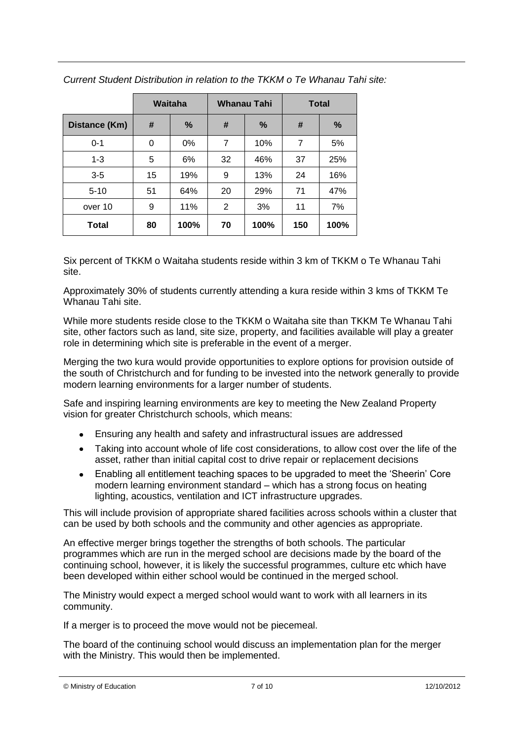|               | Waitaha<br>Whanau Tahi |      |    | <b>Total</b> |                |      |
|---------------|------------------------|------|----|--------------|----------------|------|
| Distance (Km) | #                      | %    | #  | $\%$         | #              | %    |
| $0 - 1$       | 0                      | 0%   | 7  | 10%          | $\overline{7}$ | 5%   |
| $1 - 3$       | 5                      | 6%   | 32 | 46%          | 37             | 25%  |
| $3-5$         | 15                     | 19%  | 9  | 13%          | 24             | 16%  |
| $5 - 10$      | 51                     | 64%  | 20 | 29%          | 71             | 47%  |
| over 10       | 9                      | 11%  | 2  | 3%           | 11             | 7%   |
| <b>Total</b>  | 80                     | 100% | 70 | 100%         | 150            | 100% |

*Current Student Distribution in relation to the TKKM o Te Whanau Tahi site:*

Six percent of TKKM o Waitaha students reside within 3 km of TKKM o Te Whanau Tahi site.

Approximately 30% of students currently attending a kura reside within 3 kms of TKKM Te Whanau Tahi site.

While more students reside close to the TKKM o Waitaha site than TKKM Te Whanau Tahi site, other factors such as land, site size, property, and facilities available will play a greater role in determining which site is preferable in the event of a merger.

Merging the two kura would provide opportunities to explore options for provision outside of the south of Christchurch and for funding to be invested into the network generally to provide modern learning environments for a larger number of students.

Safe and inspiring learning environments are key to meeting the New Zealand Property vision for greater Christchurch schools, which means:

- Ensuring any health and safety and infrastructural issues are addressed
- Taking into account whole of life cost considerations, to allow cost over the life of the asset, rather than initial capital cost to drive repair or replacement decisions
- Enabling all entitlement teaching spaces to be upgraded to meet the "Sheerin" Core  $\bullet$ modern learning environment standard – which has a strong focus on heating lighting, acoustics, ventilation and ICT infrastructure upgrades.

This will include provision of appropriate shared facilities across schools within a cluster that can be used by both schools and the community and other agencies as appropriate.

An effective merger brings together the strengths of both schools. The particular programmes which are run in the merged school are decisions made by the board of the continuing school, however, it is likely the successful programmes, culture etc which have been developed within either school would be continued in the merged school.

The Ministry would expect a merged school would want to work with all learners in its community.

If a merger is to proceed the move would not be piecemeal.

The board of the continuing school would discuss an implementation plan for the merger with the Ministry. This would then be implemented.

```
© Ministry of Education 7 of 10 12/10/2012
```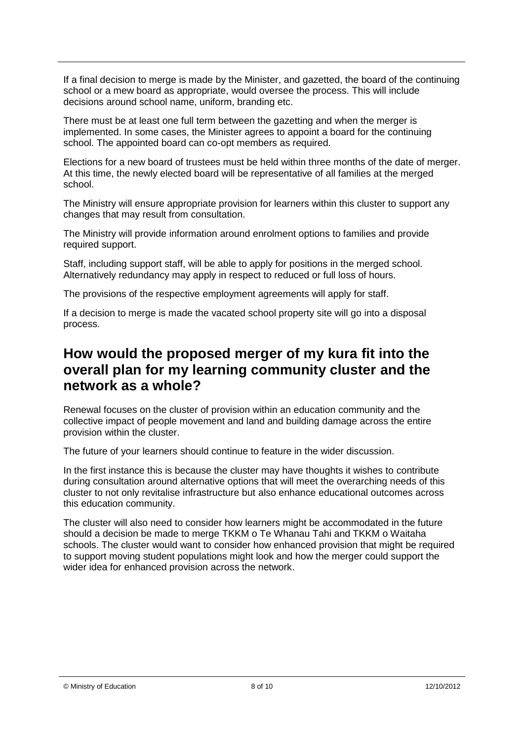If a final decision to merge is made by the Minister, and gazetted, the board of the continuing school or a mew board as appropriate, would oversee the process. This will include decisions around school name, uniform, branding etc.

There must be at least one full term between the gazetting and when the merger is implemented. In some cases, the Minister agrees to appoint a board for the continuing school. The appointed board can co-opt members as required.

Elections for a new board of trustees must be held within three months of the date of merger. At this time, the newly elected board will be representative of all families at the merged school.

The Ministry will ensure appropriate provision for learners within this cluster to support any changes that may result from consultation.

The Ministry will provide information around enrolment options to families and provide required support.

Staff, including support staff, will be able to apply for positions in the merged school. Alternatively redundancy may apply in respect to reduced or full loss of hours.

The provisions of the respective employment agreements will apply for staff.

If a decision to merge is made the vacated school property site will go into a disposal process.

### **How would the proposed merger of my kura fit into the overall plan for my learning community cluster and the network as a whole?**

Renewal focuses on the cluster of provision within an education community and the collective impact of people movement and land and building damage across the entire provision within the cluster.

The future of your learners should continue to feature in the wider discussion.

In the first instance this is because the cluster may have thoughts it wishes to contribute during consultation around alternative options that will meet the overarching needs of this cluster to not only revitalise infrastructure but also enhance educational outcomes across this education community.

The cluster will also need to consider how learners might be accommodated in the future should a decision be made to merge TKKM o Te Whanau Tahi and TKKM o Waitaha schools. The cluster would want to consider how enhanced provision that might be required to support moving student populations might look and how the merger could support the wider idea for enhanced provision across the network.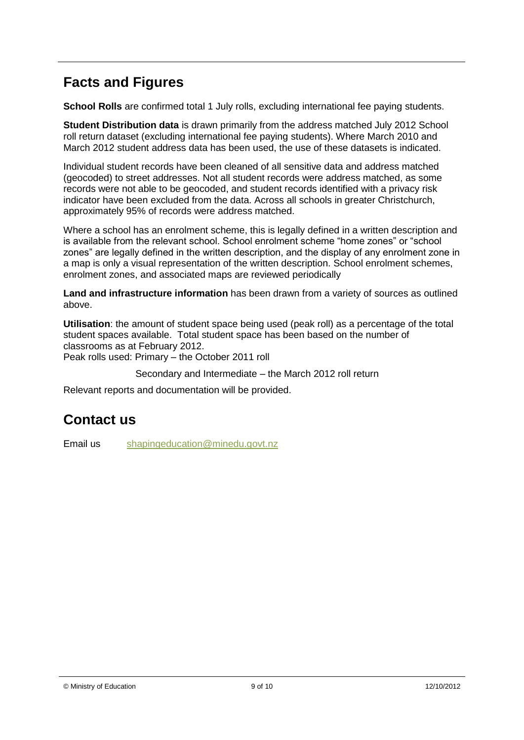# **Facts and Figures**

**School Rolls** are confirmed total 1 July rolls, excluding international fee paying students.

**Student Distribution data** is drawn primarily from the address matched July 2012 School roll return dataset (excluding international fee paying students). Where March 2010 and March 2012 student address data has been used, the use of these datasets is indicated.

Individual student records have been cleaned of all sensitive data and address matched (geocoded) to street addresses. Not all student records were address matched, as some records were not able to be geocoded, and student records identified with a privacy risk indicator have been excluded from the data. Across all schools in greater Christchurch, approximately 95% of records were address matched.

Where a school has an enrolment scheme, this is legally defined in a written description and is available from the relevant school. School enrolment scheme "home zones" or "school zones" are legally defined in the written description, and the display of any enrolment zone in a map is only a visual representation of the written description. School enrolment schemes, enrolment zones, and associated maps are reviewed periodically

**Land and infrastructure information** has been drawn from a variety of sources as outlined above.

**Utilisation**: the amount of student space being used (peak roll) as a percentage of the total student spaces available. Total student space has been based on the number of classrooms as at February 2012.

Peak rolls used: Primary – the October 2011 roll

Secondary and Intermediate – the March 2012 roll return

Relevant reports and documentation will be provided.

# **Contact us**

Email us [shapingeducation@minedu.govt.nz](mailto:shapingeducation@minedu.govt.nz)